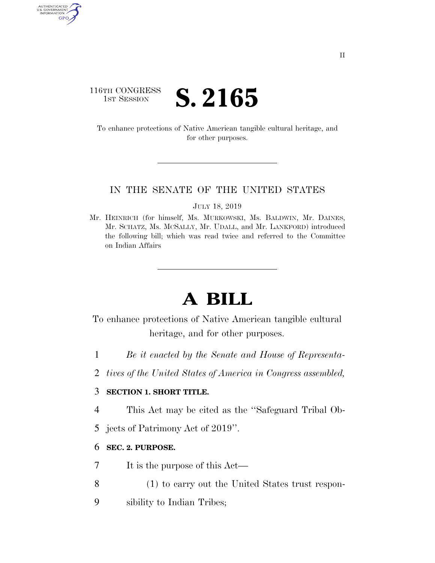### 116TH CONGRESS **IST SESSION S. 2165**

AUTHENTICATED<br>U.S. GOVERNMENT<br>INFORMATION GPO

> To enhance protections of Native American tangible cultural heritage, and for other purposes.

#### IN THE SENATE OF THE UNITED STATES

JULY 18, 2019

Mr. HEINRICH (for himself, Ms. MURKOWSKI, Ms. BALDWIN, Mr. DAINES, Mr. SCHATZ, Ms. MCSALLY, Mr. UDALL, and Mr. LANKFORD) introduced the following bill; which was read twice and referred to the Committee on Indian Affairs

# **A BILL**

To enhance protections of Native American tangible cultural heritage, and for other purposes.

- 1 *Be it enacted by the Senate and House of Representa-*
- 2 *tives of the United States of America in Congress assembled,*

#### 3 **SECTION 1. SHORT TITLE.**

- 4 This Act may be cited as the ''Safeguard Tribal Ob-
- 5 jects of Patrimony Act of 2019''.

#### 6 **SEC. 2. PURPOSE.**

- 7 It is the purpose of this Act—
- 8 (1) to carry out the United States trust respon-
- 9 sibility to Indian Tribes;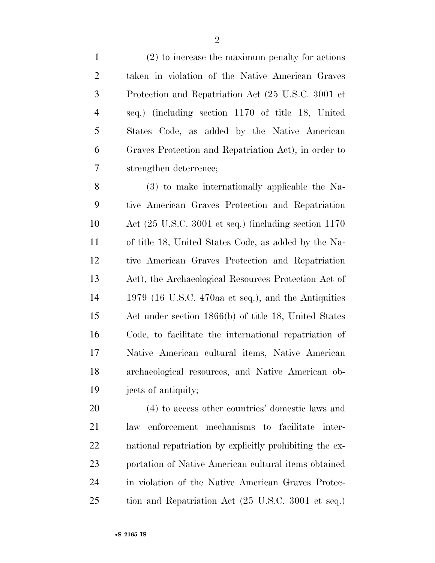(2) to increase the maximum penalty for actions taken in violation of the Native American Graves Protection and Repatriation Act (25 U.S.C. 3001 et seq.) (including section 1170 of title 18, United States Code, as added by the Native American Graves Protection and Repatriation Act), in order to strengthen deterrence;

 (3) to make internationally applicable the Na- tive American Graves Protection and Repatriation Act (25 U.S.C. 3001 et seq.) (including section 1170 of title 18, United States Code, as added by the Na- tive American Graves Protection and Repatriation Act), the Archaeological Resources Protection Act of 1979 (16 U.S.C. 470aa et seq.), and the Antiquities Act under section 1866(b) of title 18, United States Code, to facilitate the international repatriation of Native American cultural items, Native American archaeological resources, and Native American ob-jects of antiquity;

 (4) to access other countries' domestic laws and law enforcement mechanisms to facilitate inter- national repatriation by explicitly prohibiting the ex- portation of Native American cultural items obtained in violation of the Native American Graves Protec-tion and Repatriation Act (25 U.S.C. 3001 et seq.)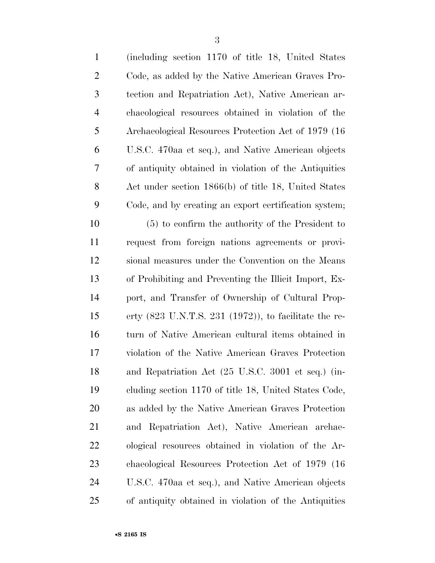| $\mathbf{1}$   | (including section 1170 of title 18, United States)                      |
|----------------|--------------------------------------------------------------------------|
| $\overline{2}$ | Code, as added by the Native American Graves Pro-                        |
| 3              | tection and Repatriation Act), Native American ar-                       |
| $\overline{4}$ | chaeological resources obtained in violation of the                      |
| 5              | Archaeological Resources Protection Act of 1979 (16)                     |
| 6              | U.S.C. 470aa et seq.), and Native American objects                       |
| 7              | of antiquity obtained in violation of the Antiquities                    |
| 8              | Act under section 1866(b) of title 18, United States                     |
| 9              | Code, and by creating an export certification system;                    |
| 10             | $(5)$ to confirm the authority of the President to                       |
| 11             | request from foreign nations agreements or provi-                        |
| 12             | sional measures under the Convention on the Means                        |
| 13             | of Prohibiting and Preventing the Illicit Import, Ex-                    |
| 14             | port, and Transfer of Ownership of Cultural Prop-                        |
| 15             | erty $(823 \text{ U.N.T.S. } 231 \text{ (1972)}),$ to facilitate the re- |
| 16             | turn of Native American cultural items obtained in                       |
| 17             | violation of the Native American Graves Protection                       |
| 18             | and Repatriation Act (25 U.S.C. 3001 et seq.) (in-                       |
| 19             | cluding section 1170 of title 18, United States Code,                    |
| 20             | as added by the Native American Graves Protection                        |
| 21             | and Repatriation Act), Native American archae-                           |
| 22             | ological resources obtained in violation of the Ar-                      |
| 23             | chaeological Resources Protection Act of 1979 (16                        |
| 24             | U.S.C. 470aa et seq.), and Native American objects                       |
| 25             | of antiquity obtained in violation of the Antiquities                    |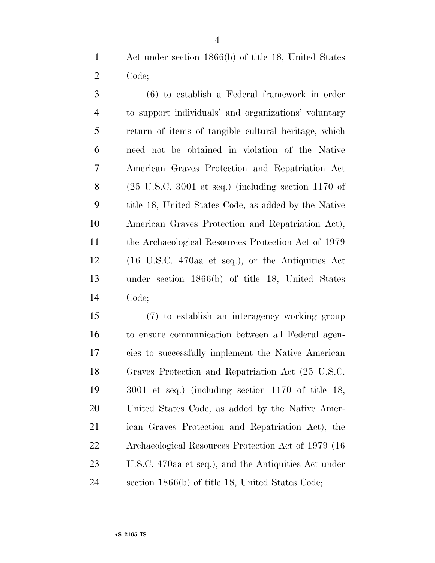Act under section 1866(b) of title 18, United States Code;

 (6) to establish a Federal framework in order to support individuals' and organizations' voluntary return of items of tangible cultural heritage, which need not be obtained in violation of the Native American Graves Protection and Repatriation Act (25 U.S.C. 3001 et seq.) (including section 1170 of title 18, United States Code, as added by the Native American Graves Protection and Repatriation Act), 11 the Archaeological Resources Protection Act of 1979 (16 U.S.C. 470aa et seq.), or the Antiquities Act under section 1866(b) of title 18, United States Code;

 (7) to establish an interagency working group to ensure communication between all Federal agen- cies to successfully implement the Native American Graves Protection and Repatriation Act (25 U.S.C. 3001 et seq.) (including section 1170 of title 18, United States Code, as added by the Native Amer- ican Graves Protection and Repatriation Act), the Archaeological Resources Protection Act of 1979 (16 U.S.C. 470aa et seq.), and the Antiquities Act under section 1866(b) of title 18, United States Code;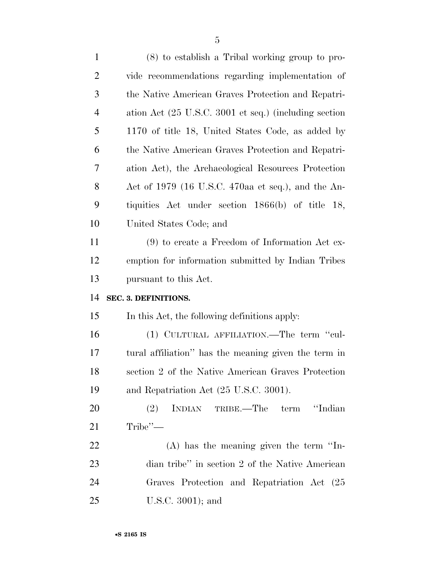| $\mathbf{1}$   | (8) to establish a Tribal working group to pro-                          |
|----------------|--------------------------------------------------------------------------|
| $\overline{2}$ | vide recommendations regarding implementation of                         |
| 3              | the Native American Graves Protection and Repatri-                       |
| $\overline{4}$ | ation Act $(25 \text{ U.S.C. } 3001 \text{ et seq.})$ (including section |
| 5              | 1170 of title 18, United States Code, as added by                        |
| 6              | the Native American Graves Protection and Repatri-                       |
| 7              | ation Act), the Archaeological Resources Protection                      |
| 8              | Act of 1979 (16 U.S.C. 470aa et seq.), and the An-                       |
| 9              | tiquities Act under section 1866(b) of title 18,                         |
| 10             | United States Code; and                                                  |
| 11             | $(9)$ to create a Freedom of Information Act ex-                         |
| 12             | emption for information submitted by Indian Tribes                       |
|                |                                                                          |
| 13             | pursuant to this Act.                                                    |
| 14             | SEC. 3. DEFINITIONS.                                                     |
| 15             | In this Act, the following definitions apply:                            |
| 16             | (1) CULTURAL AFFILIATION.—The term "cul-                                 |
| 17             | tural affiliation" has the meaning given the term in                     |
| 18             | section 2 of the Native American Graves Protection                       |
| 19             | and Repatriation Act (25 U.S.C. 3001).                                   |
| <b>20</b>      | INDIAN TRIBE.—The term<br>"Indian"<br>(2)                                |
| 21             | $Tribe"$ —                                                               |
| 22             | $(A)$ has the meaning given the term "In-                                |
| 23             | dian tribe" in section 2 of the Native American                          |
| 24             | Graves Protection and Repatriation Act (25                               |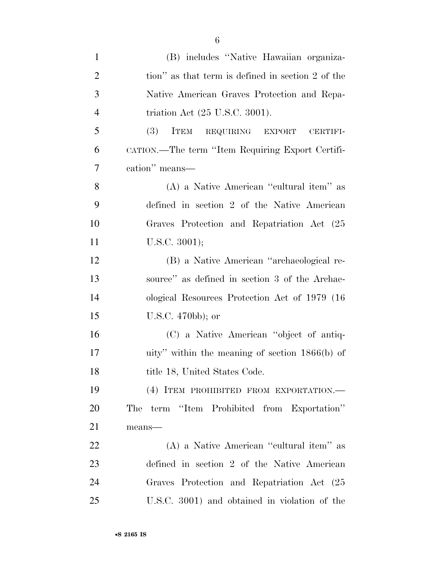| $\mathbf{1}$   | (B) includes "Native Hawaiian organiza-           |
|----------------|---------------------------------------------------|
| $\overline{2}$ | tion" as that term is defined in section 2 of the |
| 3              | Native American Graves Protection and Repa-       |
| $\overline{4}$ | triation Act $(25 \text{ U.S.C. } 3001)$ .        |
| 5              | (3)<br>ITEM REQUIRING EXPORT<br><b>CERTIFI-</b>   |
| 6              | CATION.—The term "Item Requiring Export Certifi-  |
| 7              | cation" means-                                    |
| 8              | (A) a Native American "cultural item" as          |
| 9              | defined in section 2 of the Native American       |
| 10             | Graves Protection and Repatriation Act (25        |
| 11             | U.S.C. $3001$ ;                                   |
| 12             | (B) a Native American "archaeological re-         |
| 13             | source" as defined in section 3 of the Archae-    |
| 14             | ological Resources Protection Act of 1979 (16)    |
| 15             | U.S.C. $470bb$ ; or                               |
| 16             | (C) a Native American "object of antiq-           |
| 17             | uity" within the meaning of section $1866(b)$ of  |
| 18             | title 18, United States Code.                     |
| 19             | (4) ITEM PROHIBITED FROM EXPORTATION.-            |
| 20             | The term "Item Prohibited from Exportation"       |
| 21             | means-                                            |
| 22             | (A) a Native American "cultural item" as          |
| 23             | defined in section 2 of the Native American       |
| 24             | Graves Protection and Repatriation Act (25        |
| 25             | U.S.C. 3001) and obtained in violation of the     |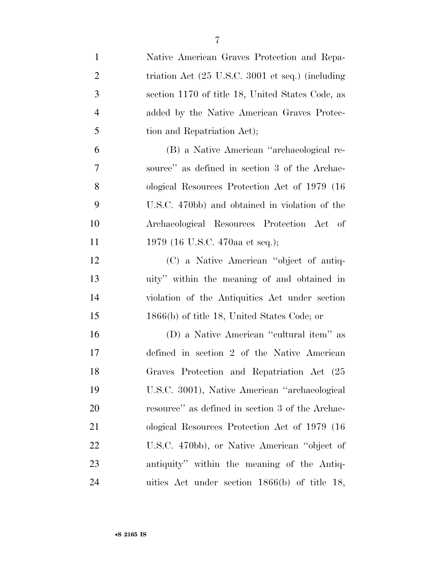| $\mathbf{1}$   | Native American Graves Protection and Repa-                         |
|----------------|---------------------------------------------------------------------|
| $\overline{2}$ | triation Act $(25 \text{ U.S.C. } 3001 \text{ et seq.})$ (including |
| 3              | section 1170 of title 18, United States Code, as                    |
| $\overline{4}$ | added by the Native American Graves Protec-                         |
| 5              | tion and Repatriation Act);                                         |
| 6              | (B) a Native American "archaeological re-                           |
| 7              | source" as defined in section 3 of the Archae-                      |
| 8              | ological Resources Protection Act of 1979 (16)                      |
| 9              | U.S.C. 470bb) and obtained in violation of the                      |
| 10             | Archaeological Resources Protection Act of                          |
| 11             | 1979 (16 U.S.C. 470aa et seq.);                                     |
| 12             | (C) a Native American "object of antiq-                             |
| 13             | uity" within the meaning of and obtained in                         |
| 14             | violation of the Antiquities Act under section                      |
| 15             | $1866(b)$ of title 18, United States Code; or                       |
| 16             | (D) a Native American "cultural item" as                            |
| 17             | defined in section 2 of the Native American                         |
| 18             | Graves Protection and Repatriation Act (25                          |
| 19             | U.S.C. 3001), Native American "archaeological                       |
| 20             | resource" as defined in section 3 of the Archae-                    |
| 21             | ological Resources Protection Act of 1979 (16)                      |
| 22             | U.S.C. 470bb), or Native American "object of                        |
| 23             | antiquity" within the meaning of the Antiq-                         |
| 24             | uities Act under section $1866(b)$ of title 18,                     |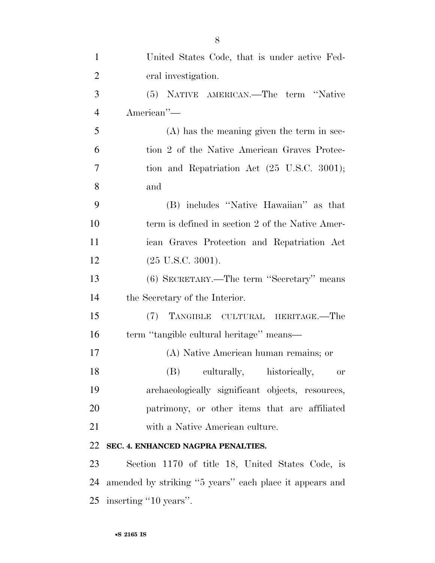| $\mathbf{1}$   | United States Code, that is under active Fed-             |
|----------------|-----------------------------------------------------------|
| $\overline{2}$ | eral investigation.                                       |
| 3              | (5) NATIVE AMERICAN.—The term "Native                     |
| $\overline{4}$ | American"-                                                |
| 5              | $(A)$ has the meaning given the term in sec-              |
| 6              | tion 2 of the Native American Graves Protec-              |
| 7              | tion and Repatriation Act $(25 \text{ U.S.C. } 3001);$    |
| 8              | and                                                       |
| 9              | (B) includes "Native Hawaiian" as that                    |
| 10             | term is defined in section 2 of the Native Amer-          |
| 11             | ican Graves Protection and Repatriation Act               |
| 12             | $(25 \text{ U.S.C. } 3001).$                              |
| 13             | (6) SECRETARY.—The term "Secretary" means                 |
| 14             | the Secretary of the Interior.                            |
| 15             | (7) TANGIBLE CULTURAL HERITAGE.—The                       |
| 16             | term "tangible cultural heritage" means—                  |
| 17             | (A) Native American human remains; or                     |
| 18             | (B)<br>culturally, historically,<br>$\hbox{or}\hskip 2mm$ |
| 19             | archaeologically significant objects, resources,          |
| 20             | patrimony, or other items that are affiliated             |
| 21             | with a Native American culture.                           |
| 22             | SEC. 4. ENHANCED NAGPRA PENALTIES.                        |
| 23             | Section 1170 of title 18, United States Code, is          |
| 24             | amended by striking "5 years" each place it appears and   |
| 25             | inserting "10 years".                                     |

•**S 2165 IS**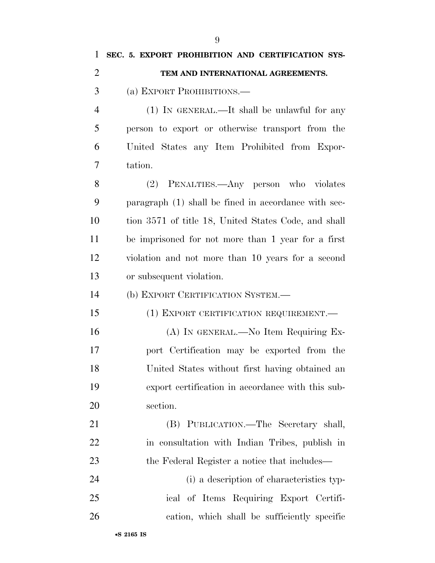**SEC. 5. EXPORT PROHIBITION AND CERTIFICATION SYS- TEM AND INTERNATIONAL AGREEMENTS.**  (a) EXPORT PROHIBITIONS.— (1) IN GENERAL.—It shall be unlawful for any person to export or otherwise transport from the United States any Item Prohibited from Expor- tation. (2) PENALTIES.—Any person who violates paragraph (1) shall be fined in accordance with sec- tion 3571 of title 18, United States Code, and shall be imprisoned for not more than 1 year for a first violation and not more than 10 years for a second or subsequent violation. (b) EXPORT CERTIFICATION SYSTEM.— (1) EXPORT CERTIFICATION REQUIREMENT.— (A) IN GENERAL.—No Item Requiring Ex- port Certification may be exported from the United States without first having obtained an export certification in accordance with this sub- section. (B) PUBLICATION.—The Secretary shall, in consultation with Indian Tribes, publish in 23 the Federal Register a notice that includes— (i) a description of characteristics typ- ical of Items Requiring Export Certifi-cation, which shall be sufficiently specific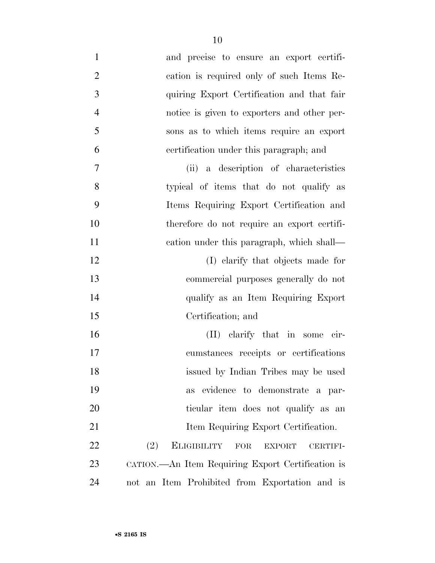| $\mathbf{1}$   | and precise to ensure an export certifi-                                     |
|----------------|------------------------------------------------------------------------------|
| $\overline{2}$ | cation is required only of such Items Re-                                    |
| 3              | quiring Export Certification and that fair                                   |
| $\overline{4}$ | notice is given to exporters and other per-                                  |
| 5              | sons as to which items require an export                                     |
| 6              | certification under this paragraph; and                                      |
| 7              | (ii) a description of characteristics                                        |
| 8              | typical of items that do not qualify as                                      |
| 9              | Items Requiring Export Certification and                                     |
| 10             | therefore do not require an export certifi-                                  |
| 11             | eation under this paragraph, which shall—                                    |
| 12             | (I) elarify that objects made for                                            |
| 13             | commercial purposes generally do not                                         |
| 14             | qualify as an Item Requiring Export                                          |
| 15             | Certification; and                                                           |
| 16             | (II) clarify that in some cir-                                               |
| 17             | cumstances receipts or certifications                                        |
| 18             | issued by Indian Tribes may be used                                          |
| 19             | evidence to demonstrate a par-<br>as                                         |
| 20             | ticular item does not qualify as an                                          |
| 21             | Item Requiring Export Certification.                                         |
| 22             | <b>ELIGIBILITY</b><br>(2)<br>${\rm FOR}$<br><b>EXPORT</b><br><b>CERTIFI-</b> |
| 23             | CATION.—An Item Requiring Export Certification is                            |
| 24             | not an Item Prohibited from Exportation and is                               |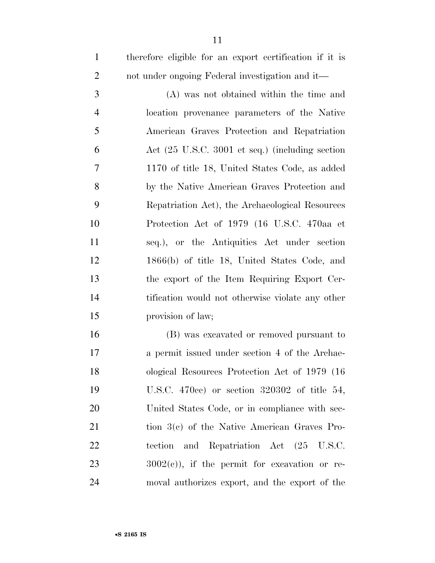|   | therefore eligible for an export certification if it is |
|---|---------------------------------------------------------|
|   | not under ongoing Federal investigation and it—         |
| 3 | (A) was not obtained within the time and                |
|   | location provonance parameters of the Native            |

 location provenance parameters of the Native American Graves Protection and Repatriation Act (25 U.S.C. 3001 et seq.) (including section 1170 of title 18, United States Code, as added by the Native American Graves Protection and Repatriation Act), the Archaeological Resources Protection Act of 1979 (16 U.S.C. 470aa et seq.), or the Antiquities Act under section 1866(b) of title 18, United States Code, and the export of the Item Requiring Export Cer- tification would not otherwise violate any other provision of law;

 (B) was excavated or removed pursuant to a permit issued under section 4 of the Archae- ological Resources Protection Act of 1979 (16 U.S.C. 470cc) or section 320302 of title 54, United States Code, or in compliance with sec- tion 3(c) of the Native American Graves Pro- tection and Repatriation Act (25 U.S.C.  $3002(e)$ , if the permit for excavation or re-moval authorizes export, and the export of the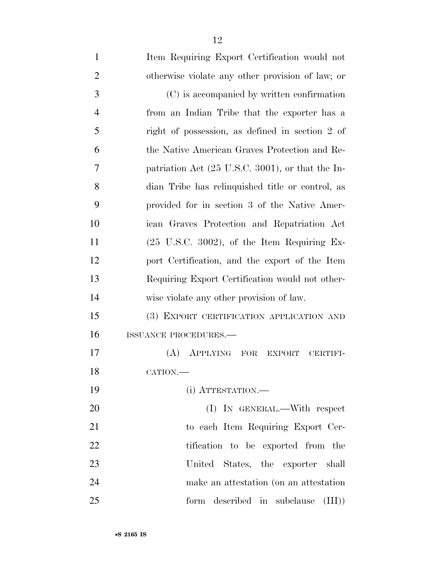| $\mathbf{1}$   | Item Requiring Export Certification would not                |
|----------------|--------------------------------------------------------------|
| $\overline{2}$ | otherwise violate any other provision of law; or             |
| 3              | (C) is accompanied by written confirmation                   |
| $\overline{4}$ | from an Indian Tribe that the exporter has a                 |
| 5              | right of possession, as defined in section 2 of              |
| 6              | the Native American Graves Protection and Re-                |
| 7              | patriation Act $(25 \text{ U.S.C. } 3001)$ , or that the In- |
| 8              | dian Tribe has relinquished title or control, as             |
| 9              | provided for in section 3 of the Native Amer-                |
| 10             | ican Graves Protection and Repatriation Act                  |
| 11             | $(25 \text{ U.S.C. } 3002)$ , of the Item Requiring Ex-      |
| 12             | port Certification, and the export of the Item               |
| 13             | Requiring Export Certification would not other-              |
| 14             | wise violate any other provision of law.                     |
| 15             | (3) EXPORT CERTIFICATION APPLICATION AND                     |
| 16             | ISSUANCE PROCEDURES.                                         |
| 17             | (A)<br>APPLYING FOR<br>EXPORT<br><b>CERTIFI-</b>             |
| 18             | CATION.                                                      |
| 19             | (i) ATTESTATION.—                                            |
| 20             | (I) IN GENERAL.—With respect                                 |
| 21             | to each Item Requiring Export Cer-                           |
| 22             | tification to be exported from the                           |
| 23             | United<br>States, the exporter shall                         |
| 24             | make an attestation (on an attestation                       |
| 25             | form described in subclause (III)                            |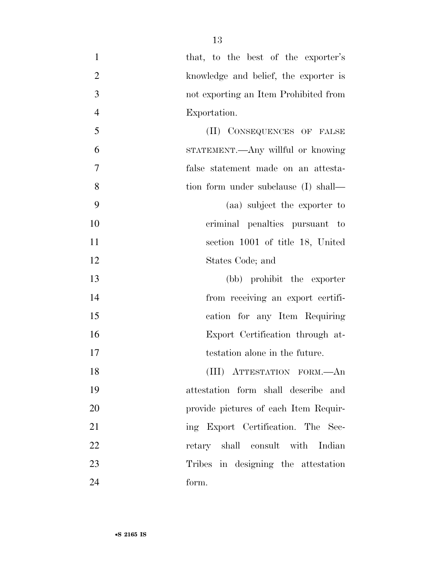| $\mathbf{1}$   | that, to the best of the exporter's   |
|----------------|---------------------------------------|
| $\overline{2}$ | knowledge and belief, the exporter is |
| 3              | not exporting an Item Prohibited from |
| $\overline{4}$ | Exportation.                          |
| 5              | (II) CONSEQUENCES OF FALSE            |
| 6              | STATEMENT.—Any willful or knowing     |
| $\tau$         | false statement made on an attesta-   |
| 8              | tion form under subclause (I) shall—  |
| 9              | (aa) subject the exporter to          |
| 10             | criminal penalties pursuant to        |
| 11             | section 1001 of title 18, United      |
| 12             | States Code; and                      |
| 13             | (bb) prohibit the exporter            |
| 14             | from receiving an export certifi-     |
| 15             | cation for any Item Requiring         |
| 16             | Export Certification through at-      |
| 17             | testation alone in the future.        |
| 18             | (III) ATTESTATION FORM.- An           |
| 19             | attestation form shall describe and   |
| 20             | provide pictures of each Item Requir- |
| 21             | ing Export Certification. The Sec-    |
| 22             | retary shall consult with Indian      |
| 23             | Tribes in designing the attestation   |
| 24             | form.                                 |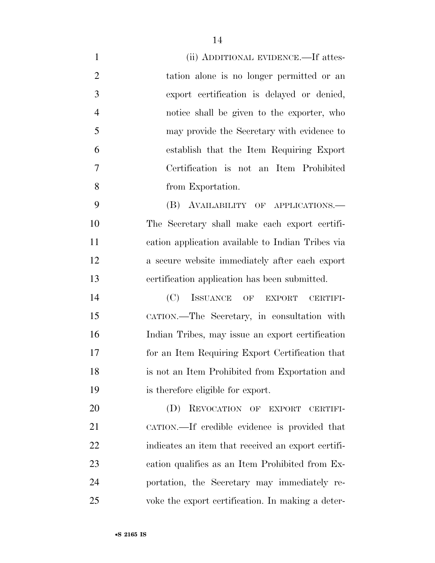| $\mathbf{1}$   | (ii) ADDITIONAL EVIDENCE.—If attes-                |
|----------------|----------------------------------------------------|
| $\overline{2}$ | tation alone is no longer permitted or an          |
| 3              | export certification is delayed or denied,         |
| $\overline{4}$ | notice shall be given to the exporter, who         |
| 5              | may provide the Secretary with evidence to         |
| 6              | establish that the Item Requiring Export           |
| 7              | Certification is not an Item Prohibited            |
| 8              | from Exportation.                                  |
| 9              | (B) AVAILABILITY OF APPLICATIONS.—                 |
| 10             | The Secretary shall make each export certifi-      |
| 11             | cation application available to Indian Tribes via  |
| 12             | a secure website immediately after each export     |
| 13             | certification application has been submitted.      |
| 14             | ISSUANCE OF<br>(C)<br>EXPORT<br>CERTIFI-           |
| 15             | CATION.-The Secretary, in consultation with        |
| 16             | Indian Tribes, may issue an export certification   |
| 17             | for an Item Requiring Export Certification that    |
| 18             | is not an Item Prohibited from Exportation and     |
| 19             | is therefore eligible for export.                  |
| 20             | REVOCATION OF EXPORT<br>(D)<br><b>CERTIFI-</b>     |
| 21             | CATION.—If credible evidence is provided that      |
| 22             | indicates an item that received an export certifi- |
| 23             | cation qualifies as an Item Prohibited from Ex-    |
| 24             | portation, the Secretary may immediately re-       |
| 25             | voke the export certification. In making a deter-  |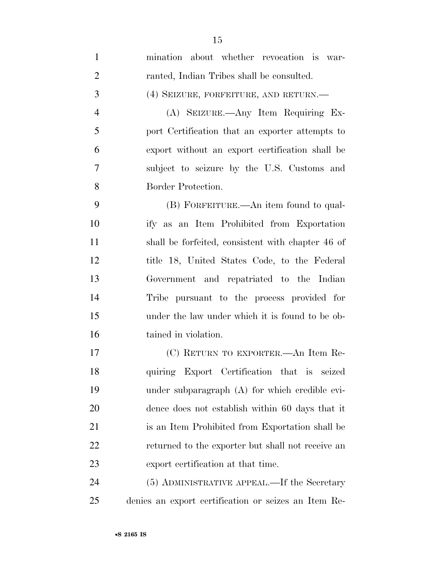| $\mathbf{1}$   | mination about whether revocation is war-            |
|----------------|------------------------------------------------------|
| $\overline{2}$ | ranted, Indian Tribes shall be consulted.            |
| 3              | (4) SEIZURE, FORFEITURE, AND RETURN.—                |
| $\overline{4}$ | (A) SEIZURE.—Any Item Requiring Ex-                  |
| 5              | port Certification that an exporter attempts to      |
| 6              | export without an export certification shall be      |
| $\overline{7}$ | subject to seizure by the U.S. Customs and           |
| 8              | Border Protection.                                   |
| 9              | (B) FORFEITURE.—An item found to qual-               |
| 10             | ify as an Item Prohibited from Exportation           |
| 11             | shall be forfeited, consistent with chapter 46 of    |
| 12             | title 18, United States Code, to the Federal         |
| 13             | Government and repatriated to the Indian             |
| 14             | Tribe pursuant to the process provided for           |
| 15             | under the law under which it is found to be ob-      |
| 16             | tained in violation.                                 |
| 17             | (C) RETURN TO EXPORTER.—An Item Re-                  |
| 18             | quiring Export Certification that is<br>seized       |
| 19             | under subparagraph (A) for which credible evi-       |
| 20             | dence does not establish within 60 days that it      |
| 21             | is an Item Prohibited from Exportation shall be      |
| 22             | returned to the exporter but shall not receive an    |
| 23             | export certification at that time.                   |
| 24             | (5) ADMINISTRATIVE APPEAL.—If the Secretary          |
| 25             | denies an export certification or seizes an Item Re- |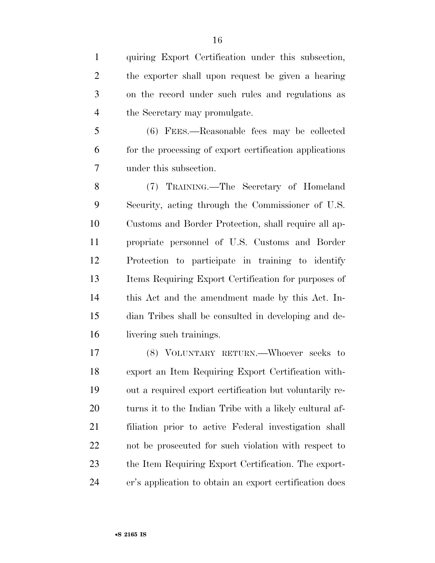quiring Export Certification under this subsection, the exporter shall upon request be given a hearing on the record under such rules and regulations as the Secretary may promulgate.

 (6) FEES.—Reasonable fees may be collected for the processing of export certification applications under this subsection.

 (7) TRAINING.—The Secretary of Homeland Security, acting through the Commissioner of U.S. Customs and Border Protection, shall require all ap- propriate personnel of U.S. Customs and Border Protection to participate in training to identify Items Requiring Export Certification for purposes of this Act and the amendment made by this Act. In- dian Tribes shall be consulted in developing and de-livering such trainings.

 (8) VOLUNTARY RETURN.—Whoever seeks to export an Item Requiring Export Certification with- out a required export certification but voluntarily re- turns it to the Indian Tribe with a likely cultural af- filiation prior to active Federal investigation shall not be prosecuted for such violation with respect to the Item Requiring Export Certification. The export-er's application to obtain an export certification does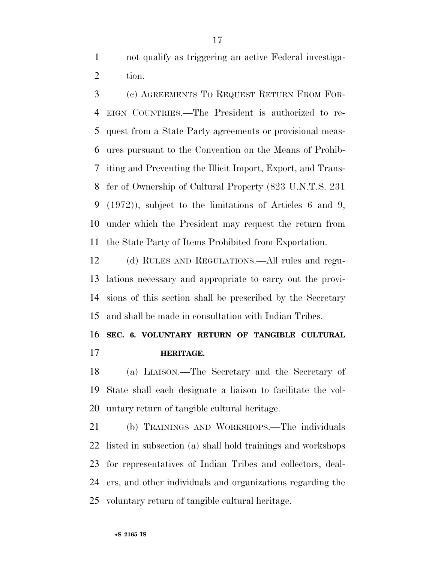not qualify as triggering an active Federal investiga-tion.

 (c) AGREEMENTS TO REQUEST RETURN FROM FOR- EIGN COUNTRIES.—The President is authorized to re- quest from a State Party agreements or provisional meas- ures pursuant to the Convention on the Means of Prohib- iting and Preventing the Illicit Import, Export, and Trans- fer of Ownership of Cultural Property (823 U.N.T.S. 231 (1972)), subject to the limitations of Articles 6 and 9, under which the President may request the return from the State Party of Items Prohibited from Exportation.

 (d) RULES AND REGULATIONS.—All rules and regu- lations necessary and appropriate to carry out the provi- sions of this section shall be prescribed by the Secretary and shall be made in consultation with Indian Tribes.

## **SEC. 6. VOLUNTARY RETURN OF TANGIBLE CULTURAL HERITAGE.**

 (a) LIAISON.—The Secretary and the Secretary of State shall each designate a liaison to facilitate the vol-untary return of tangible cultural heritage.

 (b) TRAININGS AND WORKSHOPS.—The individuals listed in subsection (a) shall hold trainings and workshops for representatives of Indian Tribes and collectors, deal- ers, and other individuals and organizations regarding the voluntary return of tangible cultural heritage.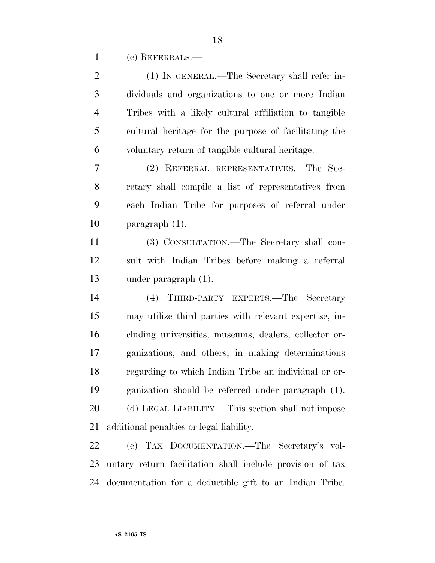(c) REFERRALS.—

| $\mathbf{2}$   | (1) IN GENERAL.—The Secretary shall refer in-             |
|----------------|-----------------------------------------------------------|
| 3              | dividuals and organizations to one or more Indian         |
| $\overline{4}$ | Tribes with a likely cultural affiliation to tangible     |
| 5              | cultural heritage for the purpose of facilitating the     |
| 6              | voluntary return of tangible cultural heritage.           |
| 7              | (2) REFERRAL REPRESENTATIVES.—The Sec-                    |
| 8              | retary shall compile a list of representatives from       |
| 9              | each Indian Tribe for purposes of referral under          |
| 10             | paragraph $(1)$ .                                         |
| 11             | (3) CONSULTATION.—The Secretary shall con-                |
| 12             | sult with Indian Tribes before making a referral          |
| 13             | under paragraph $(1)$ .                                   |
| 14             | (4) THIRD-PARTY EXPERTS.—The Secretary                    |
| 15             | may utilize third parties with relevant expertise, in-    |
| 16             | cluding universities, museums, dealers, collector or-     |
| 17             | ganizations, and others, in making determinations         |
| 18             | regarding to which Indian Tribe an individual or or-      |
| 19             | ganization should be referred under paragraph (1).        |
| 20             | (d) LEGAL LIABILITY.—This section shall not impose        |
| 21             | additional penalties or legal liability.                  |
| 22             | (e) TAX DOCUMENTATION.—The Secretary's vol-               |
| 23             | untary return facilitation shall include provision of tax |
| 24             | documentation for a deductible gift to an Indian Tribe.   |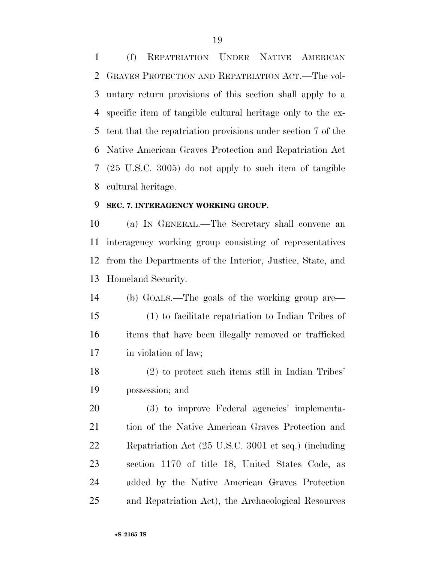(f) REPATRIATION UNDER NATIVE AMERICAN GRAVES PROTECTION AND REPATRIATION ACT.—The vol- untary return provisions of this section shall apply to a specific item of tangible cultural heritage only to the ex- tent that the repatriation provisions under section 7 of the Native American Graves Protection and Repatriation Act (25 U.S.C. 3005) do not apply to such item of tangible cultural heritage.

#### **SEC. 7. INTERAGENCY WORKING GROUP.**

 (a) IN GENERAL.—The Secretary shall convene an interagency working group consisting of representatives from the Departments of the Interior, Justice, State, and Homeland Security.

 (b) GOALS.—The goals of the working group are— (1) to facilitate repatriation to Indian Tribes of items that have been illegally removed or trafficked in violation of law;

 (2) to protect such items still in Indian Tribes' possession; and

 (3) to improve Federal agencies' implementa- tion of the Native American Graves Protection and Repatriation Act (25 U.S.C. 3001 et seq.) (including section 1170 of title 18, United States Code, as added by the Native American Graves Protection and Repatriation Act), the Archaeological Resources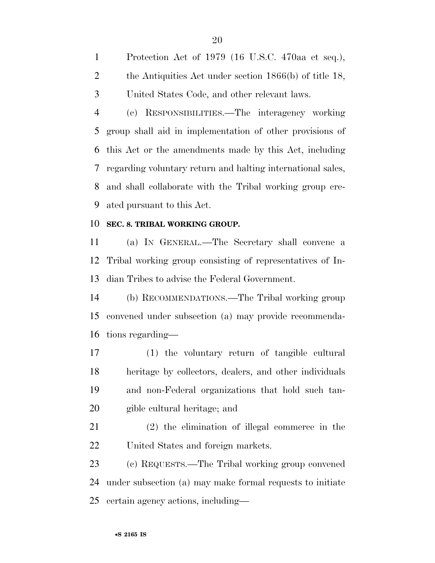Protection Act of 1979 (16 U.S.C. 470aa et seq.), 2 the Antiquities Act under section 1866(b) of title 18, United States Code, and other relevant laws.

 (c) RESPONSIBILITIES.—The interagency working group shall aid in implementation of other provisions of this Act or the amendments made by this Act, including regarding voluntary return and halting international sales, and shall collaborate with the Tribal working group cre-ated pursuant to this Act.

#### **SEC. 8. TRIBAL WORKING GROUP.**

 (a) IN GENERAL.—The Secretary shall convene a Tribal working group consisting of representatives of In-dian Tribes to advise the Federal Government.

 (b) RECOMMENDATIONS.—The Tribal working group convened under subsection (a) may provide recommenda-tions regarding—

 (1) the voluntary return of tangible cultural heritage by collectors, dealers, and other individuals and non-Federal organizations that hold such tan-gible cultural heritage; and

 (2) the elimination of illegal commerce in the United States and foreign markets.

 (c) REQUESTS.—The Tribal working group convened under subsection (a) may make formal requests to initiate certain agency actions, including—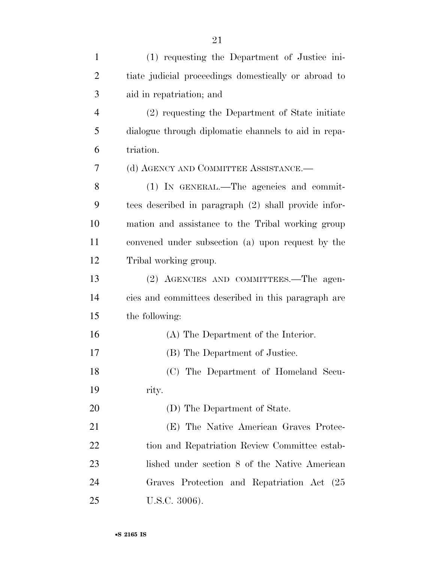| $\mathbf{1}$   | (1) requesting the Department of Justice ini-        |
|----------------|------------------------------------------------------|
| $\overline{2}$ | tiate judicial proceedings domestically or abroad to |
| 3              | aid in repatriation; and                             |
| $\overline{4}$ | (2) requesting the Department of State initiate      |
| 5              | dialogue through diplomatic channels to aid in repa- |
| 6              | triation.                                            |
| 7              | (d) AGENCY AND COMMITTEE ASSISTANCE.-                |
| 8              | (1) IN GENERAL.—The agencies and commit-             |
| 9              | tees described in paragraph (2) shall provide infor- |
| 10             | mation and assistance to the Tribal working group    |
| 11             | convened under subsection (a) upon request by the    |
| 12             | Tribal working group.                                |
| 13             | (2) AGENCIES AND COMMITTEES.—The agen-               |
| 14             | cies and committees described in this paragraph are  |
| 15             | the following:                                       |
| 16             | (A) The Department of the Interior.                  |
| 17             | (B) The Department of Justice.                       |
| 18             | (C) The Department of Homeland Secu-                 |
| 19             | rity.                                                |
| 20             | (D) The Department of State.                         |
| 21             | (E) The Native American Graves Protec-               |
| 22             | tion and Repatriation Review Committee estab-        |
| 23             | lished under section 8 of the Native American        |
| 24             | Graves Protection and Repatriation Act (25           |
| 25             | U.S.C. 3006).                                        |